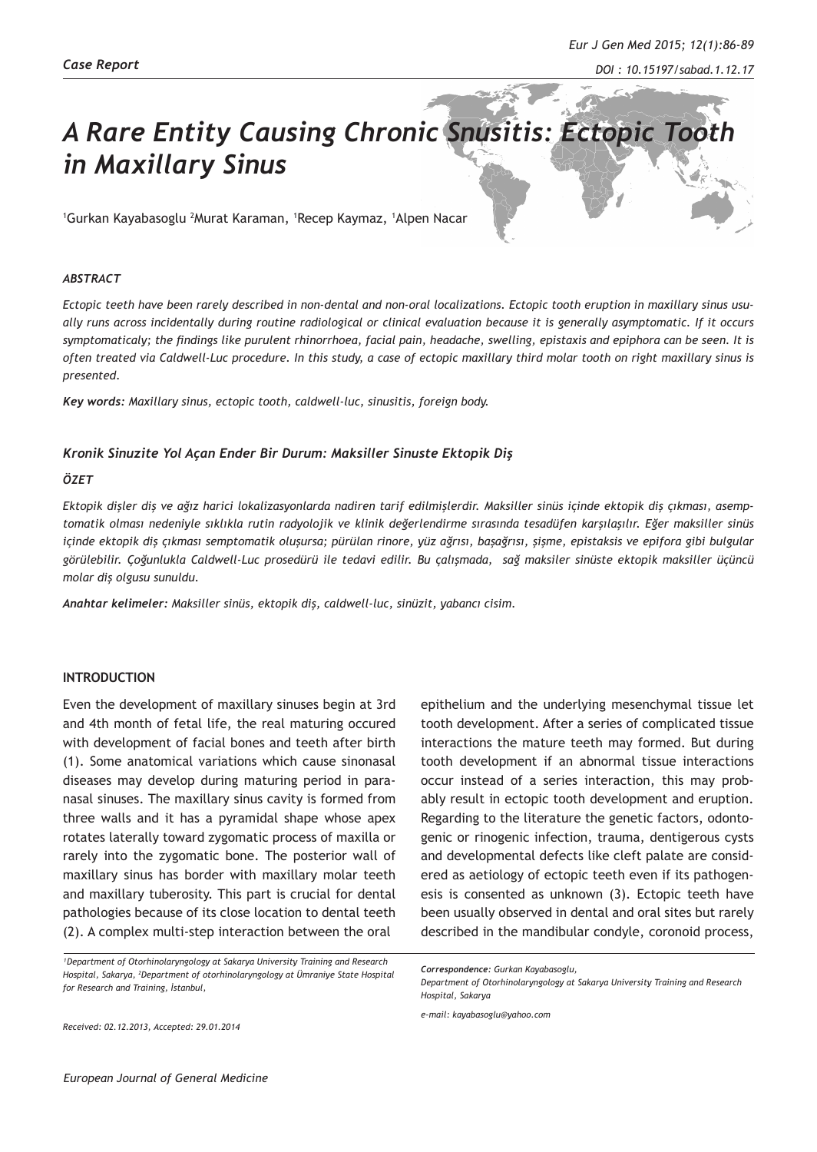# *A Rare Entity Causing Chronic Snusitis: Ectopic Tooth in Maxillary Sinus*

1 Gurkan Kayabasoglu 2 Murat Karaman, 1 Recep Kaymaz, 1 Alpen Nacar

#### *ABSTRACT*

*Ectopic teeth have been rarely described in non-dental and non-oral localizations. Ectopic tooth eruption in maxillary sinus usually runs across incidentally during routine radiological or clinical evaluation because it is generally asymptomatic. If it occurs symptomaticaly; the findings like purulent rhinorrhoea, facial pain, headache, swelling, epistaxis and epiphora can be seen. It is often treated via Caldwell-Luc procedure. In this study, a case of ectopic maxillary third molar tooth on right maxillary sinus is presented.*

*Key words: Maxillary sinus, ectopic tooth, caldwell-luc, sinusitis, foreign body.*

## *Kronik Sinuzite Yol Açan Ender Bir Durum: Maksiller Sinuste Ektopik Diş*

#### *ÖZET*

*Ektopik dişler diş ve ağız harici lokalizasyonlarda nadiren tarif edilmişlerdir. Maksiller sinüs içinde ektopik diş çıkması, asemptomatik olması nedeniyle sıklıkla rutin radyolojik ve klinik değerlendirme sırasında tesadüfen karşılaşılır. Eğer maksiller sinüs içinde ektopik diş çıkması semptomatik oluşursa; pürülan rinore, yüz ağrısı, başağrısı, şişme, epistaksis ve epifora gibi bulgular görülebilir. Çoğunlukla Caldwell-Luc prosedürü ile tedavi edilir. Bu çalışmada, sağ maksiler sinüste ektopik maksiller üçüncü molar diş olgusu sunuldu.*

*Anahtar kelimeler: Maksiller sinüs, ektopik diş, caldwell-luc, sinüzit, yabancı cisim.*

## **INTRODUCTION**

Even the development of maxillary sinuses begin at 3rd and 4th month of fetal life, the real maturing occured with development of facial bones and teeth after birth (1). Some anatomical variations which cause sinonasal diseases may develop during maturing period in paranasal sinuses. The maxillary sinus cavity is formed from three walls and it has a pyramidal shape whose apex rotates laterally toward zygomatic process of maxilla or rarely into the zygomatic bone. The posterior wall of maxillary sinus has border with maxillary molar teeth and maxillary tuberosity. This part is crucial for dental pathologies because of its close location to dental teeth (2). A complex multi-step interaction between the oral

epithelium and the underlying mesenchymal tissue let tooth development. After a series of complicated tissue interactions the mature teeth may formed. But during tooth development if an abnormal tissue interactions occur instead of a series interaction, this may probably result in ectopic tooth development and eruption. Regarding to the literature the genetic factors, odontogenic or rinogenic infection, trauma, dentigerous cysts and developmental defects like cleft palate are considered as aetiology of ectopic teeth even if its pathogenesis is consented as unknown (3). Ectopic teeth have been usually observed in dental and oral sites but rarely described in the mandibular condyle, coronoid process,

*e-mail: kayabasoglu@yahoo.com*

*Received: 02.12.2013, Accepted: 29.01.2014*

<sup>&</sup>lt;sup>1</sup>Department of Otorhinolaryngology at Sakarya University Training and Research *Hospital, Sakarya, <sup>2</sup> Department of otorhinolaryngology at Ümraniye State Hospital for Research and Training, İstanbul,* 

*Correspondence: Gurkan Kayabasoglu,* 

*Department of Otorhinolaryngology at Sakarya University Training and Research Hospital, Sakarya*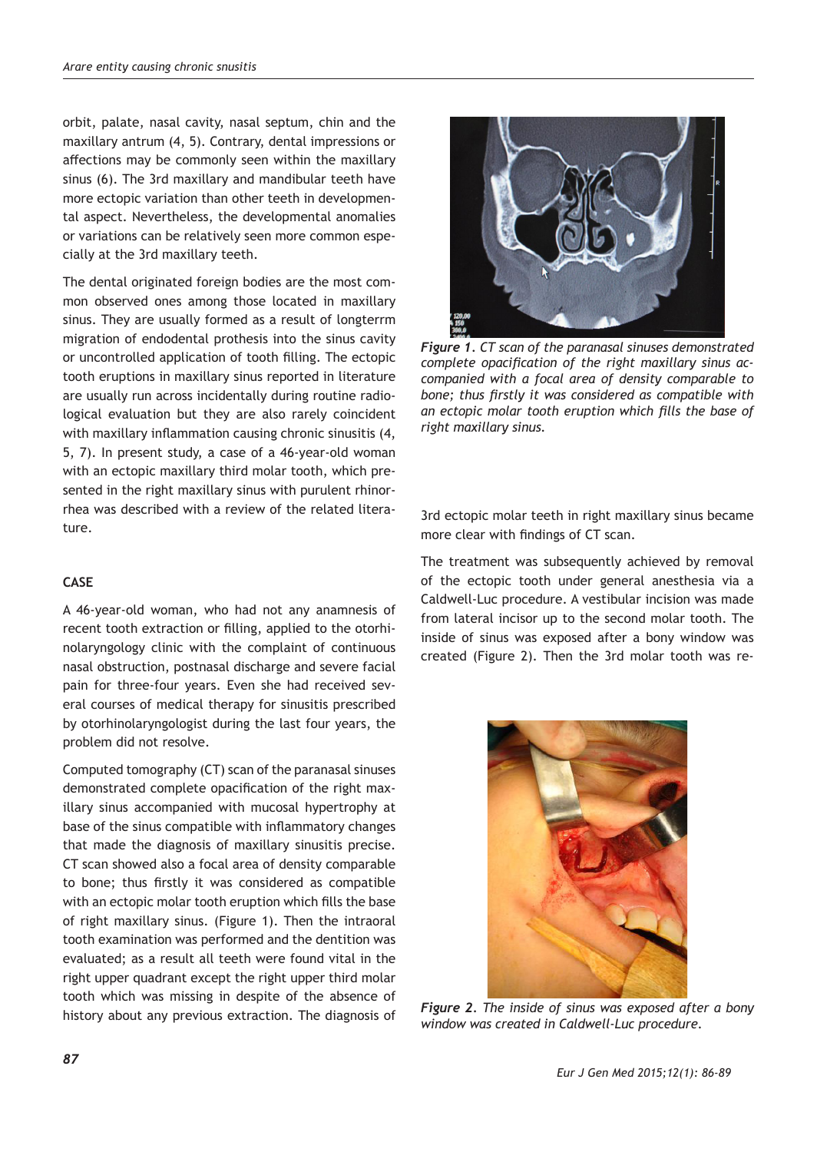orbit, palate, nasal cavity, nasal septum, chin and the maxillary antrum (4, 5). Contrary, dental impressions or affections may be commonly seen within the maxillary sinus (6). The 3rd maxillary and mandibular teeth have more ectopic variation than other teeth in developmental aspect. Nevertheless, the developmental anomalies or variations can be relatively seen more common especially at the 3rd maxillary teeth.

The dental originated foreign bodies are the most common observed ones among those located in maxillary sinus. They are usually formed as a result of longterrm migration of endodental prothesis into the sinus cavity or uncontrolled application of tooth filling. The ectopic tooth eruptions in maxillary sinus reported in literature are usually run across incidentally during routine radiological evaluation but they are also rarely coincident with maxillary inflammation causing chronic sinusitis (4, 5, 7). In present study, a case of a 46-year-old woman with an ectopic maxillary third molar tooth, which presented in the right maxillary sinus with purulent rhinorrhea was described with a review of the related literature.

## **CASE**

A 46-year-old woman, who had not any anamnesis of recent tooth extraction or filling, applied to the otorhinolaryngology clinic with the complaint of continuous nasal obstruction, postnasal discharge and severe facial pain for three-four years. Even she had received several courses of medical therapy for sinusitis prescribed by otorhinolaryngologist during the last four years, the problem did not resolve.

Computed tomography (CT) scan of the paranasal sinuses demonstrated complete opacification of the right maxillary sinus accompanied with mucosal hypertrophy at base of the sinus compatible with inflammatory changes that made the diagnosis of maxillary sinusitis precise. CT scan showed also a focal area of density comparable to bone; thus firstly it was considered as compatible with an ectopic molar tooth eruption which fills the base of right maxillary sinus. (Figure 1). Then the intraoral tooth examination was performed and the dentition was evaluated; as a result all teeth were found vital in the right upper quadrant except the right upper third molar tooth which was missing in despite of the absence of history about any previous extraction. The diagnosis of



*Figure 1. CT scan of the paranasal sinuses demonstrated complete opacification of the right maxillary sinus accompanied with a focal area of density comparable to bone; thus firstly it was considered as compatible with an ectopic molar tooth eruption which fills the base of right maxillary sinus.*

3rd ectopic molar teeth in right maxillary sinus became more clear with findings of CT scan.

The treatment was subsequently achieved by removal of the ectopic tooth under general anesthesia via a Caldwell-Luc procedure. A vestibular incision was made from lateral incisor up to the second molar tooth. The inside of sinus was exposed after a bony window was created (Figure 2). Then the 3rd molar tooth was re-



*Figure 2. The inside of sinus was exposed after a bony window was created in Caldwell-Luc procedure.*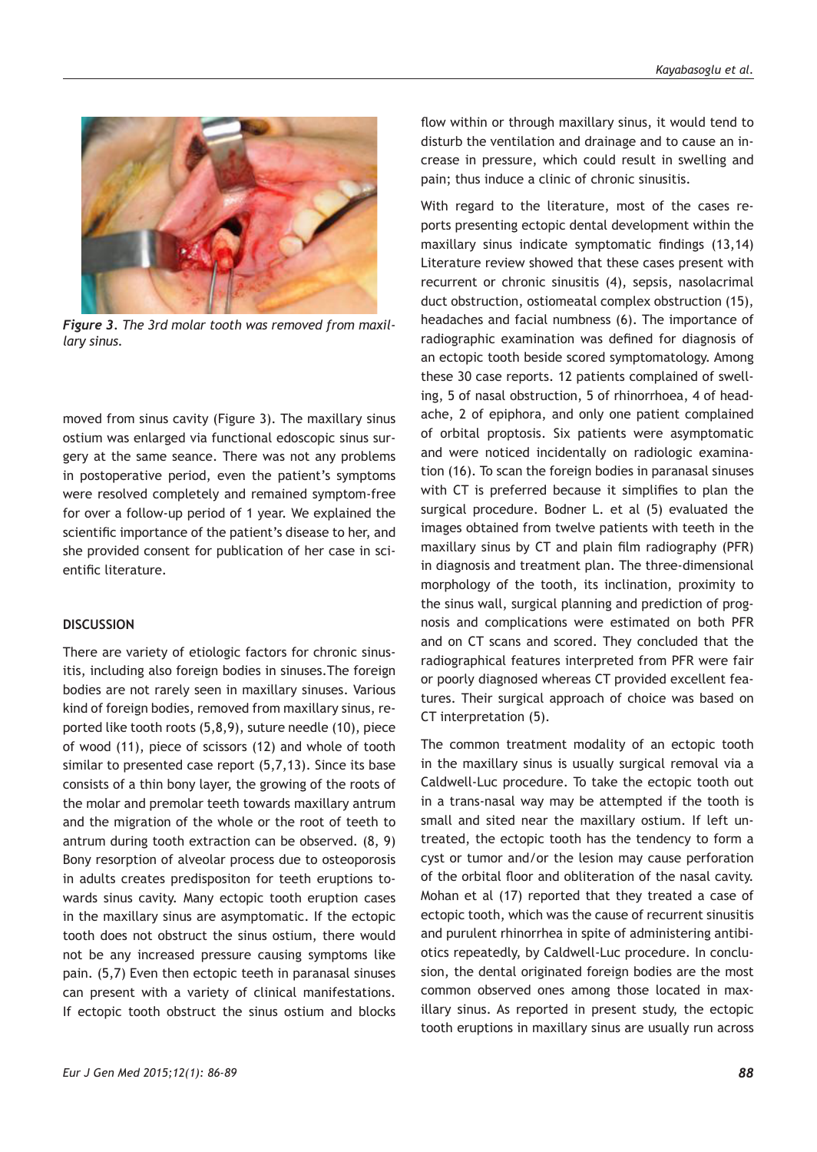

*Figure 3. The 3rd molar tooth was removed from maxillary sinus.*

moved from sinus cavity (Figure 3). The maxillary sinus ostium was enlarged via functional edoscopic sinus surgery at the same seance. There was not any problems in postoperative period, even the patient's symptoms were resolved completely and remained symptom-free for over a follow-up period of 1 year. We explained the scientific importance of the patient's disease to her, and she provided consent for publication of her case in scientific literature.

## **DISCUSSION**

There are variety of etiologic factors for chronic sinusitis, including also foreign bodies in sinuses.The foreign bodies are not rarely seen in maxillary sinuses. Various kind of foreign bodies, removed from maxillary sinus, reported like tooth roots (5,8,9), suture needle (10), piece of wood (11), piece of scissors (12) and whole of tooth similar to presented case report (5,7,13). Since its base consists of a thin bony layer, the growing of the roots of the molar and premolar teeth towards maxillary antrum and the migration of the whole or the root of teeth to antrum during tooth extraction can be observed. (8, 9) Bony resorption of alveolar process due to osteoporosis in adults creates predispositon for teeth eruptions towards sinus cavity. Many ectopic tooth eruption cases in the maxillary sinus are asymptomatic. If the ectopic tooth does not obstruct the sinus ostium, there would not be any increased pressure causing symptoms like pain. (5,7) Even then ectopic teeth in paranasal sinuses can present with a variety of clinical manifestations. If ectopic tooth obstruct the sinus ostium and blocks

flow within or through maxillary sinus, it would tend to disturb the ventilation and drainage and to cause an increase in pressure, which could result in swelling and pain; thus induce a clinic of chronic sinusitis.

With regard to the literature, most of the cases reports presenting ectopic dental development within the maxillary sinus indicate symptomatic findings (13,14) Literature review showed that these cases present with recurrent or chronic sinusitis (4), sepsis, nasolacrimal duct obstruction, ostiomeatal complex obstruction (15), headaches and facial numbness (6). The importance of radiographic examination was defined for diagnosis of an ectopic tooth beside scored symptomatology. Among these 30 case reports. 12 patients complained of swelling, 5 of nasal obstruction, 5 of rhinorrhoea, 4 of headache, 2 of epiphora, and only one patient complained of orbital proptosis. Six patients were asymptomatic and were noticed incidentally on radiologic examination (16). To scan the foreign bodies in paranasal sinuses with CT is preferred because it simplifies to plan the surgical procedure. Bodner L. et al (5) evaluated the images obtained from twelve patients with teeth in the maxillary sinus by CT and plain film radiography (PFR) in diagnosis and treatment plan. The three-dimensional morphology of the tooth, its inclination, proximity to the sinus wall, surgical planning and prediction of prognosis and complications were estimated on both PFR and on CT scans and scored. They concluded that the radiographical features interpreted from PFR were fair or poorly diagnosed whereas CT provided excellent features. Their surgical approach of choice was based on CT interpretation (5).

The common treatment modality of an ectopic tooth in the maxillary sinus is usually surgical removal via a Caldwell-Luc procedure. To take the ectopic tooth out in a trans-nasal way may be attempted if the tooth is small and sited near the maxillary ostium. If left untreated, the ectopic tooth has the tendency to form a cyst or tumor and/or the lesion may cause perforation of the orbital floor and obliteration of the nasal cavity. Mohan et al (17) reported that they treated a case of ectopic tooth, which was the cause of recurrent sinusitis and purulent rhinorrhea in spite of administering antibiotics repeatedly, by Caldwell-Luc procedure. In conclusion, the dental originated foreign bodies are the most common observed ones among those located in maxillary sinus. As reported in present study, the ectopic tooth eruptions in maxillary sinus are usually run across